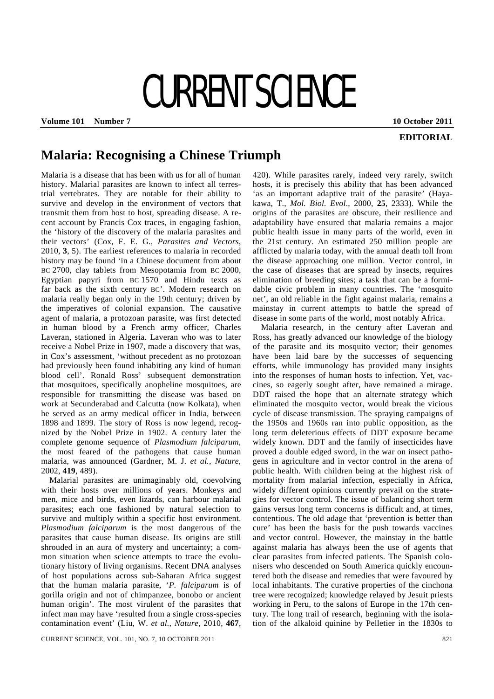## CURRENT SCIENCE

**Volume 101 Number 7 10 October 2011** 

## **EDITORIAL**

## **Malaria: Recognising a Chinese Triumph**

Malaria is a disease that has been with us for all of human history. Malarial parasites are known to infect all terrestrial vertebrates. They are notable for their ability to survive and develop in the environment of vectors that transmit them from host to host, spreading disease. A recent account by Francis Cox traces, in engaging fashion, the 'history of the discovery of the malaria parasites and their vectors' (Cox, F. E. G., *Parasites and Vectors*, 2010, **3**, 5). The earliest references to malaria in recorded history may be found 'in a Chinese document from about BC 2700, clay tablets from Mesopotamia from BC 2000, Egyptian papyri from BC 1570 and Hindu texts as far back as the sixth century BC'. Modern research on malaria really began only in the 19th century; driven by the imperatives of colonial expansion. The causative agent of malaria, a protozoan parasite, was first detected in human blood by a French army officer, Charles Laveran, stationed in Algeria. Laveran who was to later receive a Nobel Prize in 1907, made a discovery that was, in Cox's assessment, 'without precedent as no protozoan had previously been found inhabiting any kind of human blood cell'. Ronald Ross' subsequent demonstration that mosquitoes, specifically anopheline mosquitoes, are responsible for transmitting the disease was based on work at Secunderabad and Calcutta (now Kolkata), when he served as an army medical officer in India, between 1898 and 1899. The story of Ross is now legend, recognized by the Nobel Prize in 1902. A century later the complete genome sequence of *Plasmodium falciparum*, the most feared of the pathogens that cause human malaria, was announced (Gardner, M. J. *et al.*, *Nature*, 2002, **419**, 489).

 Malarial parasites are unimaginably old, coevolving with their hosts over millions of years. Monkeys and men, mice and birds, even lizards, can harbour malarial parasites; each one fashioned by natural selection to survive and multiply within a specific host environment. *Plasmodium falciparum* is the most dangerous of the parasites that cause human disease. Its origins are still shrouded in an aura of mystery and uncertainty; a common situation when science attempts to trace the evolutionary history of living organisms. Recent DNA analyses of host populations across sub-Saharan Africa suggest that the human malaria parasite, '*P. falciparum* is of gorilla origin and not of chimpanzee, bonobo or ancient human origin'. The most virulent of the parasites that infect man may have 'resulted from a single cross-species contamination event' (Liu, W. *et al.*, *Nature*, 2010, **467**,

CURRENT SCIENCE, VOL. 101, NO. 7, 10 OCTOBER 2011 821

420). While parasites rarely, indeed very rarely, switch hosts, it is precisely this ability that has been advanced 'as an important adaptive trait of the parasite' (Hayakawa, T., *Mol. Biol. Evol*., 2000, **25**, 2333). While the origins of the parasites are obscure, their resilience and adaptability have ensured that malaria remains a major public health issue in many parts of the world, even in the 21st century. An estimated 250 million people are afflicted by malaria today, with the annual death toll from the disease approaching one million. Vector control, in the case of diseases that are spread by insects, requires elimination of breeding sites; a task that can be a formidable civic problem in many countries. The 'mosquito net', an old reliable in the fight against malaria, remains a mainstay in current attempts to battle the spread of disease in some parts of the world, most notably Africa.

 Malaria research, in the century after Laveran and Ross, has greatly advanced our knowledge of the biology of the parasite and its mosquito vector; their genomes have been laid bare by the successes of sequencing efforts, while immunology has provided many insights into the responses of human hosts to infection. Yet, vaccines, so eagerly sought after, have remained a mirage. DDT raised the hope that an alternate strategy which eliminated the mosquito vector, would break the vicious cycle of disease transmission. The spraying campaigns of the 1950s and 1960s ran into public opposition, as the long term deleterious effects of DDT exposure became widely known. DDT and the family of insecticides have proved a double edged sword, in the war on insect pathogens in agriculture and in vector control in the arena of public health. With children being at the highest risk of mortality from malarial infection, especially in Africa, widely different opinions currently prevail on the strategies for vector control. The issue of balancing short term gains versus long term concerns is difficult and, at times, contentious. The old adage that 'prevention is better than cure' has been the basis for the push towards vaccines and vector control. However, the mainstay in the battle against malaria has always been the use of agents that clear parasites from infected patients. The Spanish colonisers who descended on South America quickly encountered both the disease and remedies that were favoured by local inhabitants. The curative properties of the cinchona tree were recognized; knowledge relayed by Jesuit priests working in Peru, to the salons of Europe in the 17th century. The long trail of research, beginning with the isolation of the alkaloid quinine by Pelletier in the 1830s to